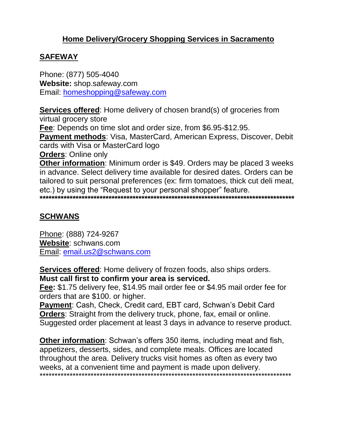## **Home Delivery/Grocery Shopping Services in Sacramento**

#### **SAFEWAY**

Phone: (877) 505-4040 **Website:** shop.safeway.com Email: homeshopping@safeway.com

**Services offered**: Home delivery of chosen brand(s) of groceries from virtual grocery store

**Fee**: Depends on time slot and order size, from \$6.95-\$12.95.

**Payment methods**: Visa, MasterCard, American Express, Discover, Debit cards with Visa or MasterCard logo

**Orders**: Online only

**Other information**: Minimum order is \$49. Orders may be placed 3 weeks in advance. Select delivery time available for desired dates. Orders can be tailored to suit personal preferences (ex: firm tomatoes, thick cut deli meat, etc.) by using the "Request to your personal shopper" feature.

**\*\*\*\*\*\*\*\*\*\*\*\*\*\*\*\*\*\*\*\*\*\*\*\*\*\*\*\*\*\*\*\*\*\*\*\*\*\*\*\*\*\*\*\*\*\*\*\*\*\*\*\*\*\*\*\*\*\*\*\*\*\*\*\*\*\*\*\*\*\*\*\*\*\*\*\*\*\*\*\*\*\*\*\*\***

### **SCHWANS**

Phone: (888) 724-9267 **Website**: schwans.com Email: email.us2@schwans.com

**Services offered**: Home delivery of frozen foods, also ships orders. **Must call first to confirm your area is serviced.**

**Fee:** \$1.75 delivery fee, \$14.95 mail order fee or \$4.95 mail order fee for orders that are \$100. or higher.

**Payment**: Cash, Check, Credit card, EBT card, Schwan's Debit Card **Orders**: Straight from the delivery truck, phone, fax, email or online. Suggested order placement at least 3 days in advance to reserve product.

**Other information**: Schwan's offers 350 items, including meat and fish, appetizers, desserts, sides, and complete meals. Offices are located throughout the area. Delivery trucks visit homes as often as every two weeks, at a convenient time and payment is made upon delivery. \*\*\*\*\*\*\*\*\*\*\*\*\*\*\*\*\*\*\*\*\*\*\*\*\*\*\*\*\*\*\*\*\*\*\*\*\*\*\*\*\*\*\*\*\*\*\*\*\*\*\*\*\*\*\*\*\*\*\*\*\*\*\*\*\*\*\*\*\*\*\*\*\*\*\*\*\*\*\*\*\*\*\*\*